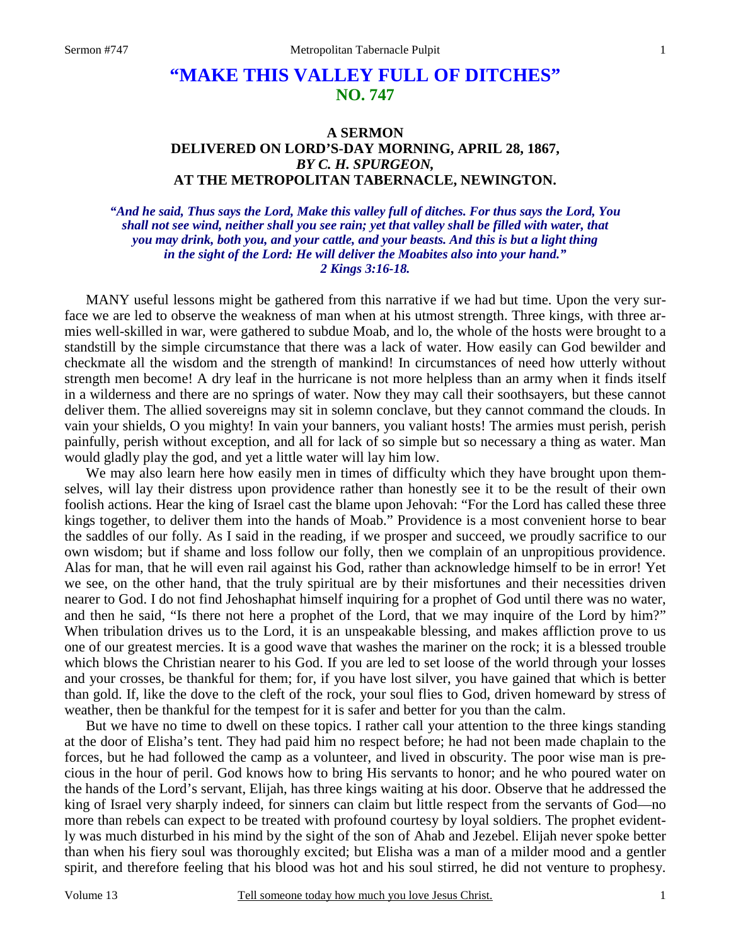# **"MAKE THIS VALLEY FULL OF DITCHES" NO. 747**

### **A SERMON DELIVERED ON LORD'S-DAY MORNING, APRIL 28, 1867,**  *BY C. H. SPURGEON,*  **AT THE METROPOLITAN TABERNACLE, NEWINGTON.**

*"And he said, Thus says the Lord, Make this valley full of ditches. For thus says the Lord, You shall not see wind, neither shall you see rain; yet that valley shall be filled with water, that you may drink, both you, and your cattle, and your beasts. And this is but a light thing in the sight of the Lord: He will deliver the Moabites also into your hand." 2 Kings 3:16-18.* 

 MANY useful lessons might be gathered from this narrative if we had but time. Upon the very surface we are led to observe the weakness of man when at his utmost strength. Three kings, with three armies well-skilled in war, were gathered to subdue Moab, and lo, the whole of the hosts were brought to a standstill by the simple circumstance that there was a lack of water. How easily can God bewilder and checkmate all the wisdom and the strength of mankind! In circumstances of need how utterly without strength men become! A dry leaf in the hurricane is not more helpless than an army when it finds itself in a wilderness and there are no springs of water. Now they may call their soothsayers, but these cannot deliver them. The allied sovereigns may sit in solemn conclave, but they cannot command the clouds. In vain your shields, O you mighty! In vain your banners, you valiant hosts! The armies must perish, perish painfully, perish without exception, and all for lack of so simple but so necessary a thing as water. Man would gladly play the god, and yet a little water will lay him low.

We may also learn here how easily men in times of difficulty which they have brought upon themselves, will lay their distress upon providence rather than honestly see it to be the result of their own foolish actions. Hear the king of Israel cast the blame upon Jehovah: "For the Lord has called these three kings together, to deliver them into the hands of Moab." Providence is a most convenient horse to bear the saddles of our folly. As I said in the reading, if we prosper and succeed, we proudly sacrifice to our own wisdom; but if shame and loss follow our folly, then we complain of an unpropitious providence. Alas for man, that he will even rail against his God, rather than acknowledge himself to be in error! Yet we see, on the other hand, that the truly spiritual are by their misfortunes and their necessities driven nearer to God. I do not find Jehoshaphat himself inquiring for a prophet of God until there was no water, and then he said, "Is there not here a prophet of the Lord, that we may inquire of the Lord by him?" When tribulation drives us to the Lord, it is an unspeakable blessing, and makes affliction prove to us one of our greatest mercies. It is a good wave that washes the mariner on the rock; it is a blessed trouble which blows the Christian nearer to his God. If you are led to set loose of the world through your losses and your crosses, be thankful for them; for, if you have lost silver, you have gained that which is better than gold. If, like the dove to the cleft of the rock, your soul flies to God, driven homeward by stress of weather, then be thankful for the tempest for it is safer and better for you than the calm.

 But we have no time to dwell on these topics. I rather call your attention to the three kings standing at the door of Elisha's tent. They had paid him no respect before; he had not been made chaplain to the forces, but he had followed the camp as a volunteer, and lived in obscurity. The poor wise man is precious in the hour of peril. God knows how to bring His servants to honor; and he who poured water on the hands of the Lord's servant, Elijah, has three kings waiting at his door. Observe that he addressed the king of Israel very sharply indeed, for sinners can claim but little respect from the servants of God—no more than rebels can expect to be treated with profound courtesy by loyal soldiers. The prophet evidently was much disturbed in his mind by the sight of the son of Ahab and Jezebel. Elijah never spoke better than when his fiery soul was thoroughly excited; but Elisha was a man of a milder mood and a gentler spirit, and therefore feeling that his blood was hot and his soul stirred, he did not venture to prophesy.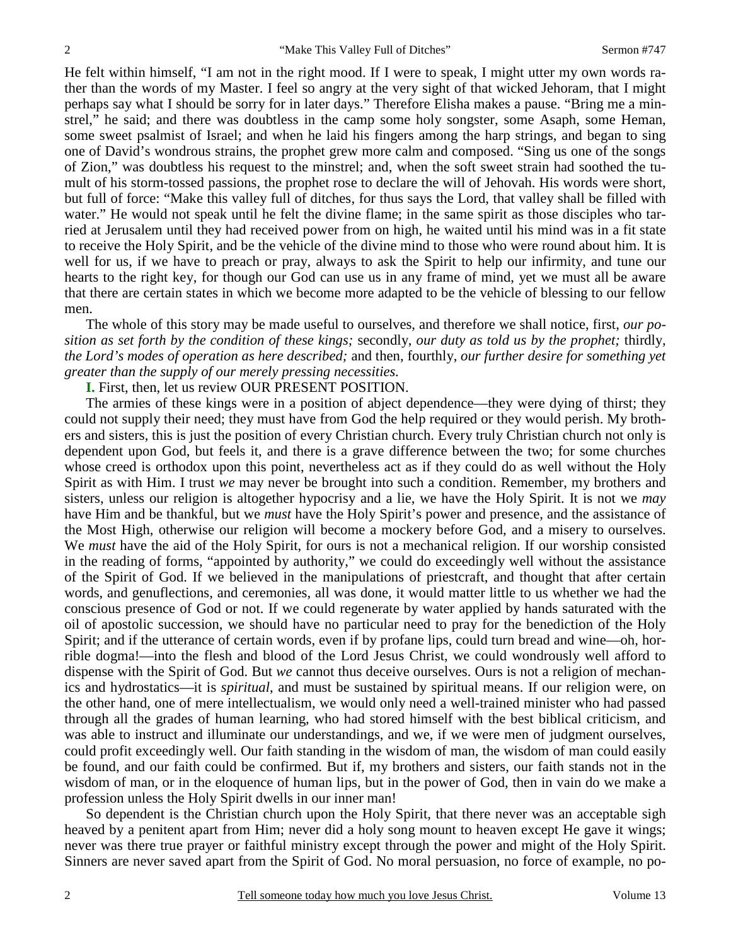He felt within himself, "I am not in the right mood. If I were to speak, I might utter my own words rather than the words of my Master. I feel so angry at the very sight of that wicked Jehoram, that I might perhaps say what I should be sorry for in later days." Therefore Elisha makes a pause. "Bring me a minstrel," he said; and there was doubtless in the camp some holy songster, some Asaph, some Heman, some sweet psalmist of Israel; and when he laid his fingers among the harp strings, and began to sing one of David's wondrous strains, the prophet grew more calm and composed. "Sing us one of the songs of Zion," was doubtless his request to the minstrel; and, when the soft sweet strain had soothed the tumult of his storm-tossed passions, the prophet rose to declare the will of Jehovah. His words were short, but full of force: "Make this valley full of ditches, for thus says the Lord, that valley shall be filled with water." He would not speak until he felt the divine flame; in the same spirit as those disciples who tarried at Jerusalem until they had received power from on high, he waited until his mind was in a fit state to receive the Holy Spirit, and be the vehicle of the divine mind to those who were round about him. It is well for us, if we have to preach or pray, always to ask the Spirit to help our infirmity, and tune our hearts to the right key, for though our God can use us in any frame of mind, yet we must all be aware that there are certain states in which we become more adapted to be the vehicle of blessing to our fellow men.

 The whole of this story may be made useful to ourselves, and therefore we shall notice, first, *our position as set forth by the condition of these kings;* secondly, *our duty as told us by the prophet;* thirdly*, the Lord's modes of operation as here described;* and then, fourthly, *our further desire for something yet greater than the supply of our merely pressing necessities.* 

**I.** First, then, let us review OUR PRESENT POSITION.

 The armies of these kings were in a position of abject dependence—they were dying of thirst; they could not supply their need; they must have from God the help required or they would perish. My brothers and sisters, this is just the position of every Christian church. Every truly Christian church not only is dependent upon God, but feels it, and there is a grave difference between the two; for some churches whose creed is orthodox upon this point, nevertheless act as if they could do as well without the Holy Spirit as with Him. I trust *we* may never be brought into such a condition. Remember, my brothers and sisters, unless our religion is altogether hypocrisy and a lie, we have the Holy Spirit. It is not we *may* have Him and be thankful, but we *must* have the Holy Spirit's power and presence, and the assistance of the Most High, otherwise our religion will become a mockery before God, and a misery to ourselves. We *must* have the aid of the Holy Spirit, for ours is not a mechanical religion. If our worship consisted in the reading of forms, "appointed by authority," we could do exceedingly well without the assistance of the Spirit of God. If we believed in the manipulations of priestcraft, and thought that after certain words, and genuflections, and ceremonies, all was done, it would matter little to us whether we had the conscious presence of God or not. If we could regenerate by water applied by hands saturated with the oil of apostolic succession, we should have no particular need to pray for the benediction of the Holy Spirit; and if the utterance of certain words, even if by profane lips, could turn bread and wine—oh, horrible dogma!—into the flesh and blood of the Lord Jesus Christ, we could wondrously well afford to dispense with the Spirit of God. But *we* cannot thus deceive ourselves. Ours is not a religion of mechanics and hydrostatics—it is *spiritual*, and must be sustained by spiritual means. If our religion were, on the other hand, one of mere intellectualism, we would only need a well-trained minister who had passed through all the grades of human learning, who had stored himself with the best biblical criticism, and was able to instruct and illuminate our understandings, and we, if we were men of judgment ourselves, could profit exceedingly well. Our faith standing in the wisdom of man, the wisdom of man could easily be found, and our faith could be confirmed. But if, my brothers and sisters, our faith stands not in the wisdom of man, or in the eloquence of human lips, but in the power of God, then in vain do we make a profession unless the Holy Spirit dwells in our inner man!

 So dependent is the Christian church upon the Holy Spirit, that there never was an acceptable sigh heaved by a penitent apart from Him; never did a holy song mount to heaven except He gave it wings; never was there true prayer or faithful ministry except through the power and might of the Holy Spirit. Sinners are never saved apart from the Spirit of God. No moral persuasion, no force of example, no po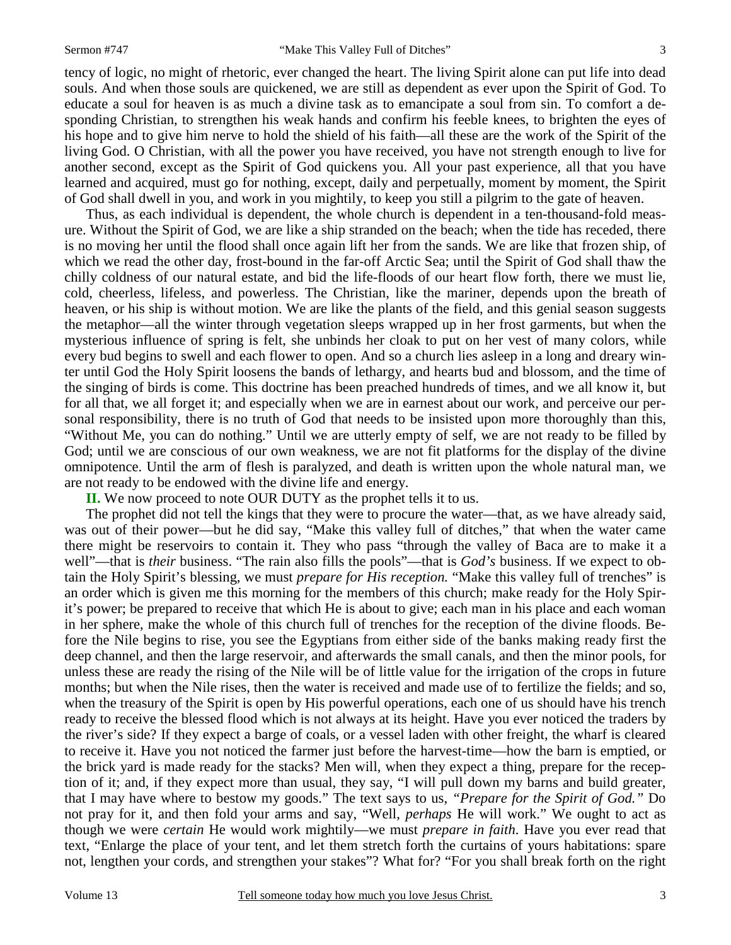tency of logic, no might of rhetoric, ever changed the heart. The living Spirit alone can put life into dead souls. And when those souls are quickened, we are still as dependent as ever upon the Spirit of God. To educate a soul for heaven is as much a divine task as to emancipate a soul from sin. To comfort a desponding Christian, to strengthen his weak hands and confirm his feeble knees, to brighten the eyes of his hope and to give him nerve to hold the shield of his faith—all these are the work of the Spirit of the living God. O Christian, with all the power you have received, you have not strength enough to live for another second, except as the Spirit of God quickens you. All your past experience, all that you have learned and acquired, must go for nothing, except, daily and perpetually, moment by moment, the Spirit of God shall dwell in you, and work in you mightily, to keep you still a pilgrim to the gate of heaven.

 Thus, as each individual is dependent, the whole church is dependent in a ten-thousand-fold measure. Without the Spirit of God, we are like a ship stranded on the beach; when the tide has receded, there is no moving her until the flood shall once again lift her from the sands. We are like that frozen ship, of which we read the other day, frost-bound in the far-off Arctic Sea; until the Spirit of God shall thaw the chilly coldness of our natural estate, and bid the life-floods of our heart flow forth, there we must lie, cold, cheerless, lifeless, and powerless. The Christian, like the mariner, depends upon the breath of heaven, or his ship is without motion. We are like the plants of the field, and this genial season suggests the metaphor—all the winter through vegetation sleeps wrapped up in her frost garments, but when the mysterious influence of spring is felt, she unbinds her cloak to put on her vest of many colors, while every bud begins to swell and each flower to open. And so a church lies asleep in a long and dreary winter until God the Holy Spirit loosens the bands of lethargy, and hearts bud and blossom, and the time of the singing of birds is come. This doctrine has been preached hundreds of times, and we all know it, but for all that, we all forget it; and especially when we are in earnest about our work, and perceive our personal responsibility, there is no truth of God that needs to be insisted upon more thoroughly than this, "Without Me, you can do nothing." Until we are utterly empty of self, we are not ready to be filled by God; until we are conscious of our own weakness, we are not fit platforms for the display of the divine omnipotence. Until the arm of flesh is paralyzed, and death is written upon the whole natural man, we are not ready to be endowed with the divine life and energy.

**II.** We now proceed to note OUR DUTY as the prophet tells it to us.

 The prophet did not tell the kings that they were to procure the water—that, as we have already said, was out of their power—but he did say, "Make this valley full of ditches," that when the water came there might be reservoirs to contain it. They who pass "through the valley of Baca are to make it a well"—that is *their* business. "The rain also fills the pools"—that is *God's* business. If we expect to obtain the Holy Spirit's blessing, we must *prepare for His reception.* "Make this valley full of trenches" is an order which is given me this morning for the members of this church; make ready for the Holy Spirit's power; be prepared to receive that which He is about to give; each man in his place and each woman in her sphere, make the whole of this church full of trenches for the reception of the divine floods. Before the Nile begins to rise, you see the Egyptians from either side of the banks making ready first the deep channel, and then the large reservoir, and afterwards the small canals, and then the minor pools, for unless these are ready the rising of the Nile will be of little value for the irrigation of the crops in future months; but when the Nile rises, then the water is received and made use of to fertilize the fields; and so, when the treasury of the Spirit is open by His powerful operations, each one of us should have his trench ready to receive the blessed flood which is not always at its height. Have you ever noticed the traders by the river's side? If they expect a barge of coals, or a vessel laden with other freight, the wharf is cleared to receive it. Have you not noticed the farmer just before the harvest-time—how the barn is emptied, or the brick yard is made ready for the stacks? Men will, when they expect a thing, prepare for the reception of it; and, if they expect more than usual, they say, "I will pull down my barns and build greater, that I may have where to bestow my goods." The text says to us, *"Prepare for the Spirit of God."* Do not pray for it, and then fold your arms and say, "Well, *perhaps* He will work." We ought to act as though we were *certain* He would work mightily—we must *prepare in faith*. Have you ever read that text, "Enlarge the place of your tent, and let them stretch forth the curtains of yours habitations: spare not, lengthen your cords, and strengthen your stakes"? What for? "For you shall break forth on the right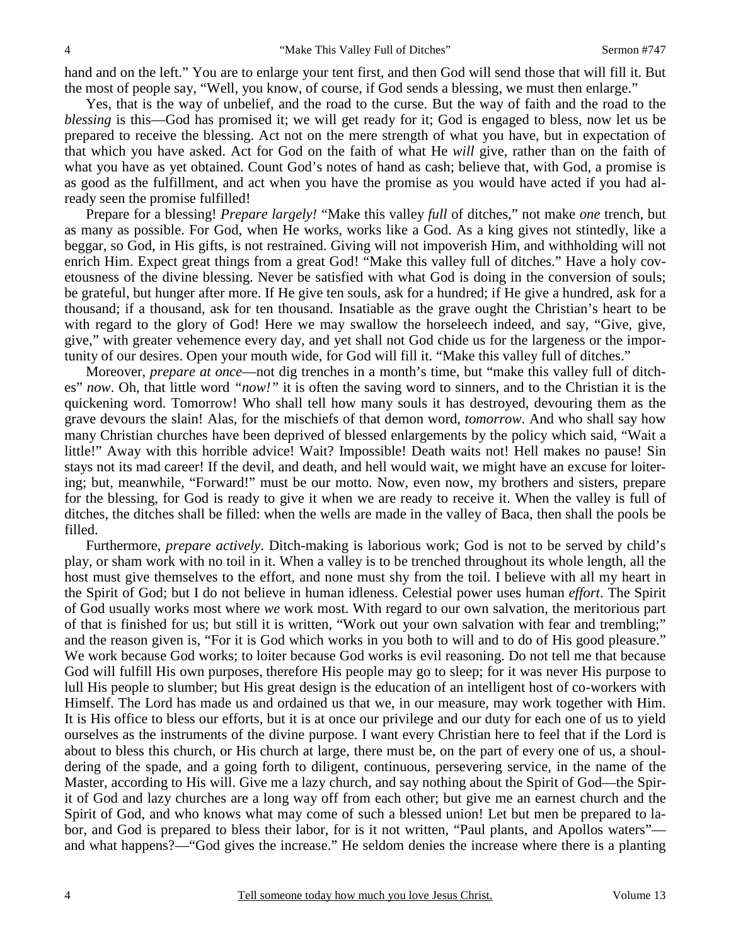hand and on the left." You are to enlarge your tent first, and then God will send those that will fill it. But the most of people say, "Well, you know, of course, if God sends a blessing, we must then enlarge."

 Yes, that is the way of unbelief, and the road to the curse. But the way of faith and the road to the *blessing* is this—God has promised it; we will get ready for it; God is engaged to bless, now let us be prepared to receive the blessing. Act not on the mere strength of what you have, but in expectation of that which you have asked. Act for God on the faith of what He *will* give, rather than on the faith of what you have as yet obtained. Count God's notes of hand as cash; believe that, with God, a promise is as good as the fulfillment, and act when you have the promise as you would have acted if you had already seen the promise fulfilled!

 Prepare for a blessing! *Prepare largely!* "Make this valley *full* of ditches," not make *one* trench, but as many as possible. For God, when He works, works like a God. As a king gives not stintedly, like a beggar, so God, in His gifts, is not restrained. Giving will not impoverish Him, and withholding will not enrich Him. Expect great things from a great God! "Make this valley full of ditches." Have a holy covetousness of the divine blessing. Never be satisfied with what God is doing in the conversion of souls; be grateful, but hunger after more. If He give ten souls, ask for a hundred; if He give a hundred, ask for a thousand; if a thousand, ask for ten thousand. Insatiable as the grave ought the Christian's heart to be with regard to the glory of God! Here we may swallow the horseleech indeed, and say, "Give, give, give," with greater vehemence every day, and yet shall not God chide us for the largeness or the importunity of our desires. Open your mouth wide, for God will fill it. "Make this valley full of ditches."

 Moreover, *prepare at once*—not dig trenches in a month's time, but "make this valley full of ditches" *now*. Oh, that little word *"now!"* it is often the saving word to sinners, and to the Christian it is the quickening word. Tomorrow! Who shall tell how many souls it has destroyed, devouring them as the grave devours the slain! Alas, for the mischiefs of that demon word, *tomorrow*. And who shall say how many Christian churches have been deprived of blessed enlargements by the policy which said, "Wait a little!" Away with this horrible advice! Wait? Impossible! Death waits not! Hell makes no pause! Sin stays not its mad career! If the devil, and death, and hell would wait, we might have an excuse for loitering; but, meanwhile, "Forward!" must be our motto. Now, even now, my brothers and sisters, prepare for the blessing, for God is ready to give it when we are ready to receive it. When the valley is full of ditches, the ditches shall be filled: when the wells are made in the valley of Baca, then shall the pools be filled.

 Furthermore, *prepare actively*. Ditch-making is laborious work; God is not to be served by child's play, or sham work with no toil in it. When a valley is to be trenched throughout its whole length, all the host must give themselves to the effort, and none must shy from the toil. I believe with all my heart in the Spirit of God; but I do not believe in human idleness. Celestial power uses human *effort*. The Spirit of God usually works most where *we* work most. With regard to our own salvation, the meritorious part of that is finished for us; but still it is written, "Work out your own salvation with fear and trembling;" and the reason given is, "For it is God which works in you both to will and to do of His good pleasure." We work because God works; to loiter because God works is evil reasoning. Do not tell me that because God will fulfill His own purposes, therefore His people may go to sleep; for it was never His purpose to lull His people to slumber; but His great design is the education of an intelligent host of co-workers with Himself. The Lord has made us and ordained us that we, in our measure, may work together with Him. It is His office to bless our efforts, but it is at once our privilege and our duty for each one of us to yield ourselves as the instruments of the divine purpose. I want every Christian here to feel that if the Lord is about to bless this church, or His church at large, there must be, on the part of every one of us, a shouldering of the spade, and a going forth to diligent, continuous, persevering service, in the name of the Master, according to His will. Give me a lazy church, and say nothing about the Spirit of God—the Spirit of God and lazy churches are a long way off from each other; but give me an earnest church and the Spirit of God, and who knows what may come of such a blessed union! Let but men be prepared to labor, and God is prepared to bless their labor, for is it not written, "Paul plants, and Apollos waters" and what happens?—"God gives the increase." He seldom denies the increase where there is a planting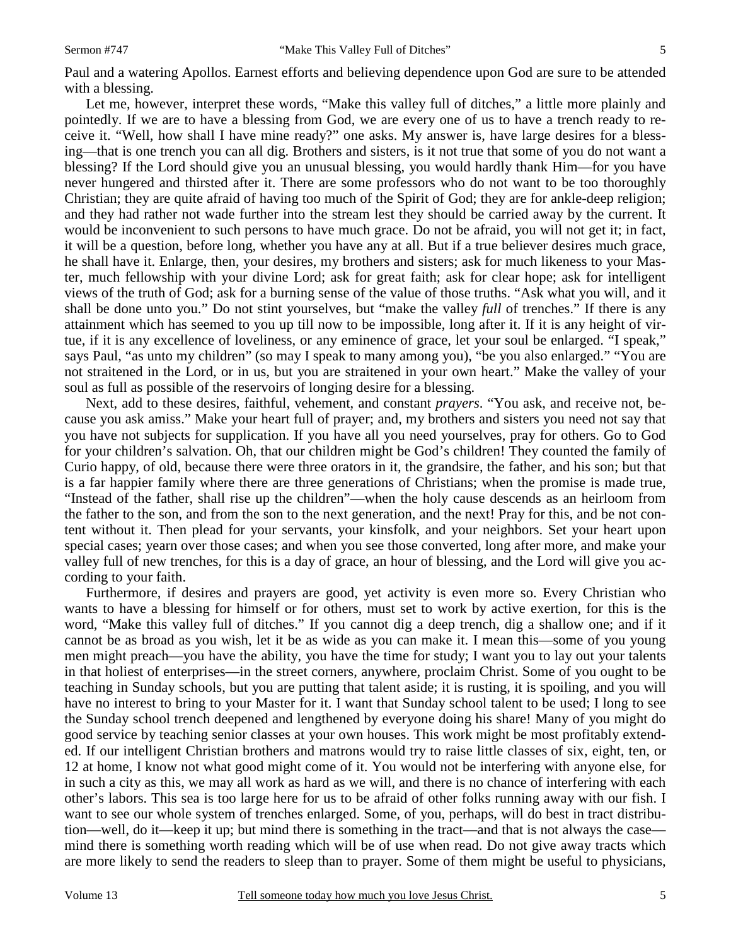Paul and a watering Apollos. Earnest efforts and believing dependence upon God are sure to be attended with a blessing.

 Let me, however, interpret these words, "Make this valley full of ditches," a little more plainly and pointedly. If we are to have a blessing from God, we are every one of us to have a trench ready to receive it. "Well, how shall I have mine ready?" one asks. My answer is, have large desires for a blessing—that is one trench you can all dig. Brothers and sisters, is it not true that some of you do not want a blessing? If the Lord should give you an unusual blessing, you would hardly thank Him—for you have never hungered and thirsted after it. There are some professors who do not want to be too thoroughly Christian; they are quite afraid of having too much of the Spirit of God; they are for ankle-deep religion; and they had rather not wade further into the stream lest they should be carried away by the current. It would be inconvenient to such persons to have much grace. Do not be afraid, you will not get it; in fact, it will be a question, before long, whether you have any at all. But if a true believer desires much grace, he shall have it. Enlarge, then, your desires, my brothers and sisters; ask for much likeness to your Master, much fellowship with your divine Lord; ask for great faith; ask for clear hope; ask for intelligent views of the truth of God; ask for a burning sense of the value of those truths. "Ask what you will, and it shall be done unto you." Do not stint yourselves, but "make the valley *full* of trenches." If there is any attainment which has seemed to you up till now to be impossible, long after it. If it is any height of virtue, if it is any excellence of loveliness, or any eminence of grace, let your soul be enlarged. "I speak," says Paul, "as unto my children" (so may I speak to many among you), "be you also enlarged." "You are not straitened in the Lord, or in us, but you are straitened in your own heart." Make the valley of your soul as full as possible of the reservoirs of longing desire for a blessing.

 Next, add to these desires, faithful, vehement, and constant *prayers*. "You ask, and receive not, because you ask amiss." Make your heart full of prayer; and, my brothers and sisters you need not say that you have not subjects for supplication. If you have all you need yourselves, pray for others. Go to God for your children's salvation. Oh, that our children might be God's children! They counted the family of Curio happy, of old, because there were three orators in it, the grandsire, the father, and his son; but that is a far happier family where there are three generations of Christians; when the promise is made true, "Instead of the father, shall rise up the children"—when the holy cause descends as an heirloom from the father to the son, and from the son to the next generation, and the next! Pray for this, and be not content without it. Then plead for your servants, your kinsfolk, and your neighbors. Set your heart upon special cases; yearn over those cases; and when you see those converted, long after more, and make your valley full of new trenches, for this is a day of grace, an hour of blessing, and the Lord will give you according to your faith.

 Furthermore, if desires and prayers are good, yet activity is even more so. Every Christian who wants to have a blessing for himself or for others, must set to work by active exertion, for this is the word, "Make this valley full of ditches." If you cannot dig a deep trench, dig a shallow one; and if it cannot be as broad as you wish, let it be as wide as you can make it. I mean this—some of you young men might preach—you have the ability, you have the time for study; I want you to lay out your talents in that holiest of enterprises—in the street corners, anywhere, proclaim Christ. Some of you ought to be teaching in Sunday schools, but you are putting that talent aside; it is rusting, it is spoiling, and you will have no interest to bring to your Master for it. I want that Sunday school talent to be used; I long to see the Sunday school trench deepened and lengthened by everyone doing his share! Many of you might do good service by teaching senior classes at your own houses. This work might be most profitably extended. If our intelligent Christian brothers and matrons would try to raise little classes of six, eight, ten, or 12 at home, I know not what good might come of it. You would not be interfering with anyone else, for in such a city as this, we may all work as hard as we will, and there is no chance of interfering with each other's labors. This sea is too large here for us to be afraid of other folks running away with our fish. I want to see our whole system of trenches enlarged. Some, of you, perhaps, will do best in tract distribution—well, do it—keep it up; but mind there is something in the tract—and that is not always the case mind there is something worth reading which will be of use when read. Do not give away tracts which are more likely to send the readers to sleep than to prayer. Some of them might be useful to physicians,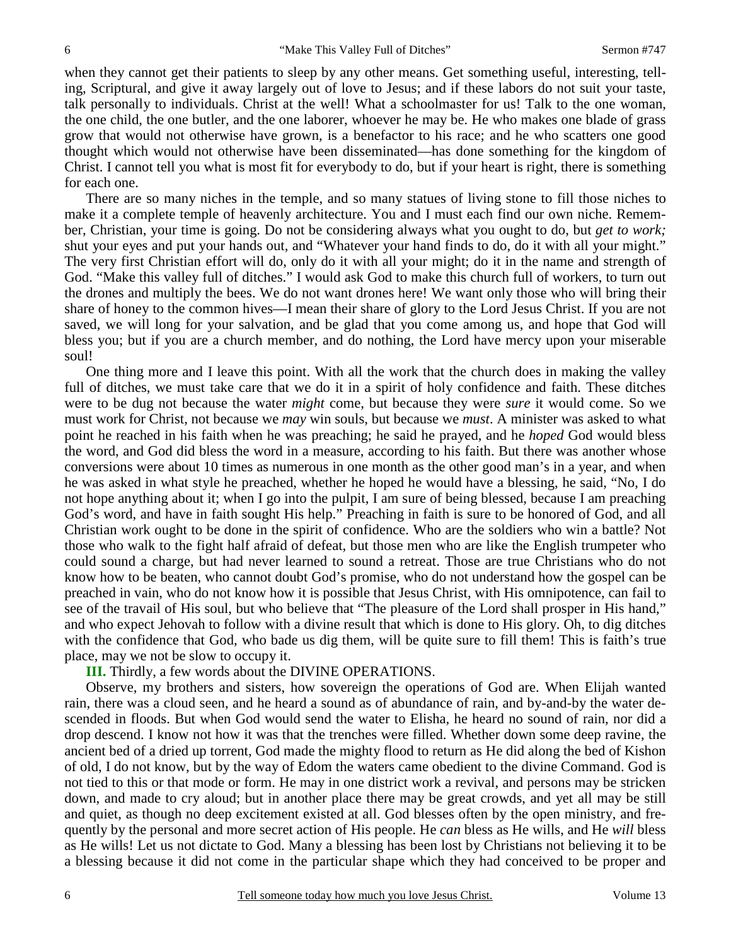when they cannot get their patients to sleep by any other means. Get something useful, interesting, telling, Scriptural, and give it away largely out of love to Jesus; and if these labors do not suit your taste, talk personally to individuals. Christ at the well! What a schoolmaster for us! Talk to the one woman, the one child, the one butler, and the one laborer, whoever he may be. He who makes one blade of grass grow that would not otherwise have grown, is a benefactor to his race; and he who scatters one good thought which would not otherwise have been disseminated—has done something for the kingdom of Christ. I cannot tell you what is most fit for everybody to do, but if your heart is right, there is something for each one.

 There are so many niches in the temple, and so many statues of living stone to fill those niches to make it a complete temple of heavenly architecture. You and I must each find our own niche. Remember, Christian, your time is going. Do not be considering always what you ought to do, but *get to work;* shut your eyes and put your hands out, and "Whatever your hand finds to do, do it with all your might." The very first Christian effort will do, only do it with all your might; do it in the name and strength of God. "Make this valley full of ditches." I would ask God to make this church full of workers, to turn out the drones and multiply the bees. We do not want drones here! We want only those who will bring their share of honey to the common hives—I mean their share of glory to the Lord Jesus Christ. If you are not saved, we will long for your salvation, and be glad that you come among us, and hope that God will bless you; but if you are a church member, and do nothing, the Lord have mercy upon your miserable soul!

 One thing more and I leave this point. With all the work that the church does in making the valley full of ditches, we must take care that we do it in a spirit of holy confidence and faith. These ditches were to be dug not because the water *might* come, but because they were *sure* it would come. So we must work for Christ, not because we *may* win souls, but because we *must*. A minister was asked to what point he reached in his faith when he was preaching; he said he prayed, and he *hoped* God would bless the word, and God did bless the word in a measure, according to his faith. But there was another whose conversions were about 10 times as numerous in one month as the other good man's in a year, and when he was asked in what style he preached, whether he hoped he would have a blessing, he said, "No, I do not hope anything about it; when I go into the pulpit, I am sure of being blessed, because I am preaching God's word, and have in faith sought His help." Preaching in faith is sure to be honored of God, and all Christian work ought to be done in the spirit of confidence. Who are the soldiers who win a battle? Not those who walk to the fight half afraid of defeat, but those men who are like the English trumpeter who could sound a charge, but had never learned to sound a retreat. Those are true Christians who do not know how to be beaten, who cannot doubt God's promise, who do not understand how the gospel can be preached in vain, who do not know how it is possible that Jesus Christ, with His omnipotence, can fail to see of the travail of His soul, but who believe that "The pleasure of the Lord shall prosper in His hand," and who expect Jehovah to follow with a divine result that which is done to His glory. Oh, to dig ditches with the confidence that God, who bade us dig them, will be quite sure to fill them! This is faith's true place, may we not be slow to occupy it.

#### **III.** Thirdly, a few words about the DIVINE OPERATIONS.

 Observe, my brothers and sisters, how sovereign the operations of God are. When Elijah wanted rain, there was a cloud seen, and he heard a sound as of abundance of rain, and by-and-by the water descended in floods. But when God would send the water to Elisha, he heard no sound of rain, nor did a drop descend. I know not how it was that the trenches were filled. Whether down some deep ravine, the ancient bed of a dried up torrent, God made the mighty flood to return as He did along the bed of Kishon of old, I do not know, but by the way of Edom the waters came obedient to the divine Command. God is not tied to this or that mode or form. He may in one district work a revival, and persons may be stricken down, and made to cry aloud; but in another place there may be great crowds, and yet all may be still and quiet, as though no deep excitement existed at all. God blesses often by the open ministry, and frequently by the personal and more secret action of His people. He *can* bless as He wills, and He *will* bless as He wills! Let us not dictate to God. Many a blessing has been lost by Christians not believing it to be a blessing because it did not come in the particular shape which they had conceived to be proper and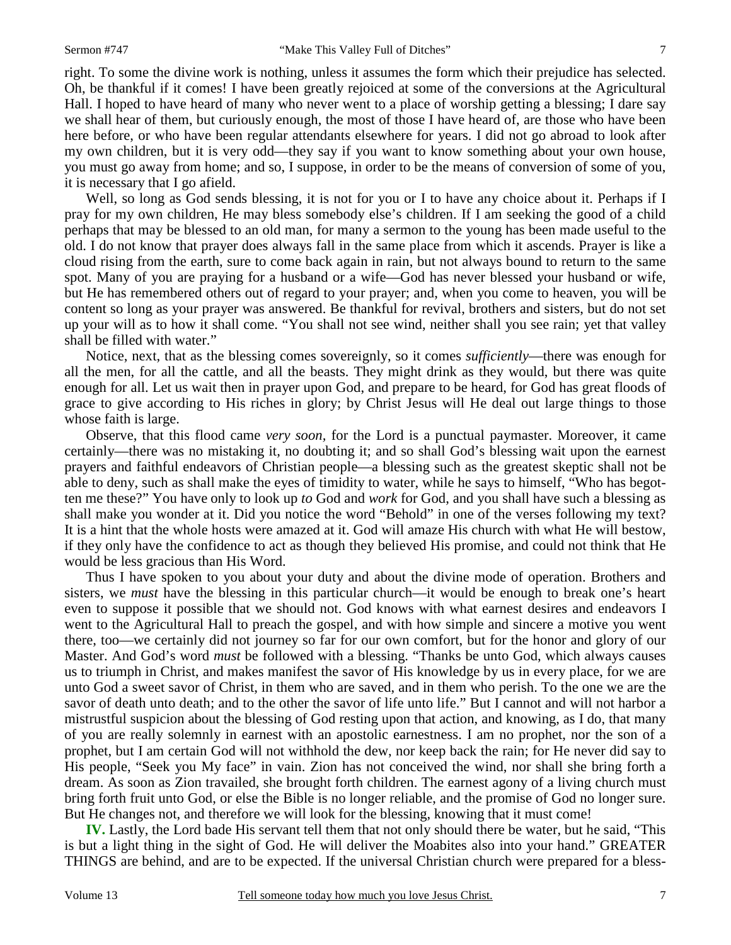right. To some the divine work is nothing, unless it assumes the form which their prejudice has selected. Oh, be thankful if it comes! I have been greatly rejoiced at some of the conversions at the Agricultural Hall. I hoped to have heard of many who never went to a place of worship getting a blessing; I dare say we shall hear of them, but curiously enough, the most of those I have heard of, are those who have been here before, or who have been regular attendants elsewhere for years. I did not go abroad to look after my own children, but it is very odd—they say if you want to know something about your own house, you must go away from home; and so, I suppose, in order to be the means of conversion of some of you, it is necessary that I go afield.

Well, so long as God sends blessing, it is not for you or I to have any choice about it. Perhaps if I pray for my own children, He may bless somebody else's children. If I am seeking the good of a child perhaps that may be blessed to an old man, for many a sermon to the young has been made useful to the old. I do not know that prayer does always fall in the same place from which it ascends. Prayer is like a cloud rising from the earth, sure to come back again in rain, but not always bound to return to the same spot. Many of you are praying for a husband or a wife—God has never blessed your husband or wife, but He has remembered others out of regard to your prayer; and, when you come to heaven, you will be content so long as your prayer was answered. Be thankful for revival, brothers and sisters, but do not set up your will as to how it shall come. "You shall not see wind, neither shall you see rain; yet that valley shall be filled with water."

 Notice, next, that as the blessing comes sovereignly, so it comes *sufficiently*—there was enough for all the men, for all the cattle, and all the beasts. They might drink as they would, but there was quite enough for all. Let us wait then in prayer upon God, and prepare to be heard, for God has great floods of grace to give according to His riches in glory; by Christ Jesus will He deal out large things to those whose faith is large.

 Observe, that this flood came *very soon,* for the Lord is a punctual paymaster. Moreover, it came certainly—there was no mistaking it, no doubting it; and so shall God's blessing wait upon the earnest prayers and faithful endeavors of Christian people—a blessing such as the greatest skeptic shall not be able to deny, such as shall make the eyes of timidity to water, while he says to himself, "Who has begotten me these?" You have only to look up *to* God and *work* for God, and you shall have such a blessing as shall make you wonder at it. Did you notice the word "Behold" in one of the verses following my text? It is a hint that the whole hosts were amazed at it. God will amaze His church with what He will bestow, if they only have the confidence to act as though they believed His promise, and could not think that He would be less gracious than His Word.

 Thus I have spoken to you about your duty and about the divine mode of operation. Brothers and sisters, we *must* have the blessing in this particular church—it would be enough to break one's heart even to suppose it possible that we should not. God knows with what earnest desires and endeavors I went to the Agricultural Hall to preach the gospel, and with how simple and sincere a motive you went there, too—we certainly did not journey so far for our own comfort, but for the honor and glory of our Master. And God's word *must* be followed with a blessing. "Thanks be unto God, which always causes us to triumph in Christ, and makes manifest the savor of His knowledge by us in every place, for we are unto God a sweet savor of Christ, in them who are saved, and in them who perish. To the one we are the savor of death unto death; and to the other the savor of life unto life." But I cannot and will not harbor a mistrustful suspicion about the blessing of God resting upon that action, and knowing, as I do, that many of you are really solemnly in earnest with an apostolic earnestness. I am no prophet, nor the son of a prophet, but I am certain God will not withhold the dew, nor keep back the rain; for He never did say to His people, "Seek you My face" in vain. Zion has not conceived the wind, nor shall she bring forth a dream. As soon as Zion travailed, she brought forth children. The earnest agony of a living church must bring forth fruit unto God, or else the Bible is no longer reliable, and the promise of God no longer sure. But He changes not, and therefore we will look for the blessing, knowing that it must come!

**IV.** Lastly, the Lord bade His servant tell them that not only should there be water, but he said, "This is but a light thing in the sight of God. He will deliver the Moabites also into your hand." GREATER THINGS are behind, and are to be expected. If the universal Christian church were prepared for a bless